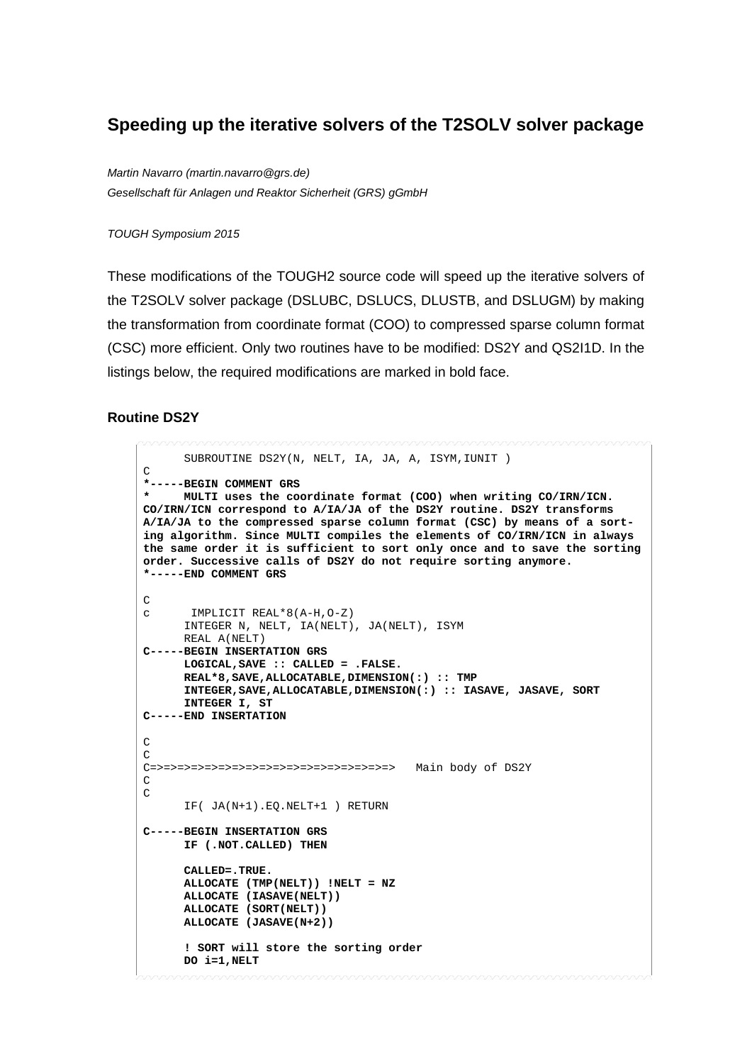## **Speeding up the iterative solvers of the T2SOLV solver package**

*Martin Navarro (martin.navarro@grs.de) Gesellschaft für Anlagen und Reaktor Sicherheit (GRS) gGmbH*

*TOUGH Symposium 2015*

These modifications of the TOUGH2 source code will speed up the iterative solvers of the T2SOLV solver package (DSLUBC, DSLUCS, DLUSTB, and DSLUGM) by making the transformation from coordinate format (COO) to compressed sparse column format (CSC) more efficient. Only two routines have to be modified: DS2Y and QS2I1D. In the listings below, the required modifications are marked in bold face.

## **Routine DS2Y**

```
 SUBROUTINE DS2Y(N, NELT, IA, JA, A, ISYM,IUNIT )
\mathcal{C}*-----BEGIN COMMENT GRS
      * MULTI uses the coordinate format (COO) when writing CO/IRN/ICN. 
CO/IRN/ICN correspond to A/IA/JA of the DS2Y routine. DS2Y transforms 
A/IA/JA to the compressed sparse column format (CSC) by means of a sort-
ing algorithm. Since MULTI compiles the elements of CO/IRN/ICN in always 
the same order it is sufficient to sort only once and to save the sorting 
order. Successive calls of DS2Y do not require sorting anymore. 
*-----END COMMENT GRS
\frac{C}{C}c IMPLICIT REAL*8(A-H,O-Z)
       INTEGER N, NELT, IA(NELT), JA(NELT), ISYM
       REAL A(NELT)
C-----BEGIN INSERTATION GRS
       LOGICAL,SAVE :: CALLED = .FALSE.
       REAL*8,SAVE,ALLOCATABLE,DIMENSION(:) :: TMP
       INTEGER,SAVE,ALLOCATABLE,DIMENSION(:) :: IASAVE, JASAVE, SORT
       INTEGER I, ST 
C-----END INSERTATION
C
C
C=>=>=>=>=>=>=>=>=>=>=>=>=>=>=>=>=>=> Main body of DS2Y
C
\mathcal{C} IF( JA(N+1).EQ.NELT+1 ) RETURN
C-----BEGIN INSERTATION GRS
       IF (.NOT.CALLED) THEN 
       CALLED=.TRUE.
       ALLOCATE (TMP(NELT)) !NELT = NZ
       ALLOCATE (IASAVE(NELT))
       ALLOCATE (SORT(NELT))
       ALLOCATE (JASAVE(N+2))
       ! SORT will store the sorting order
       DO i=1,NELT
```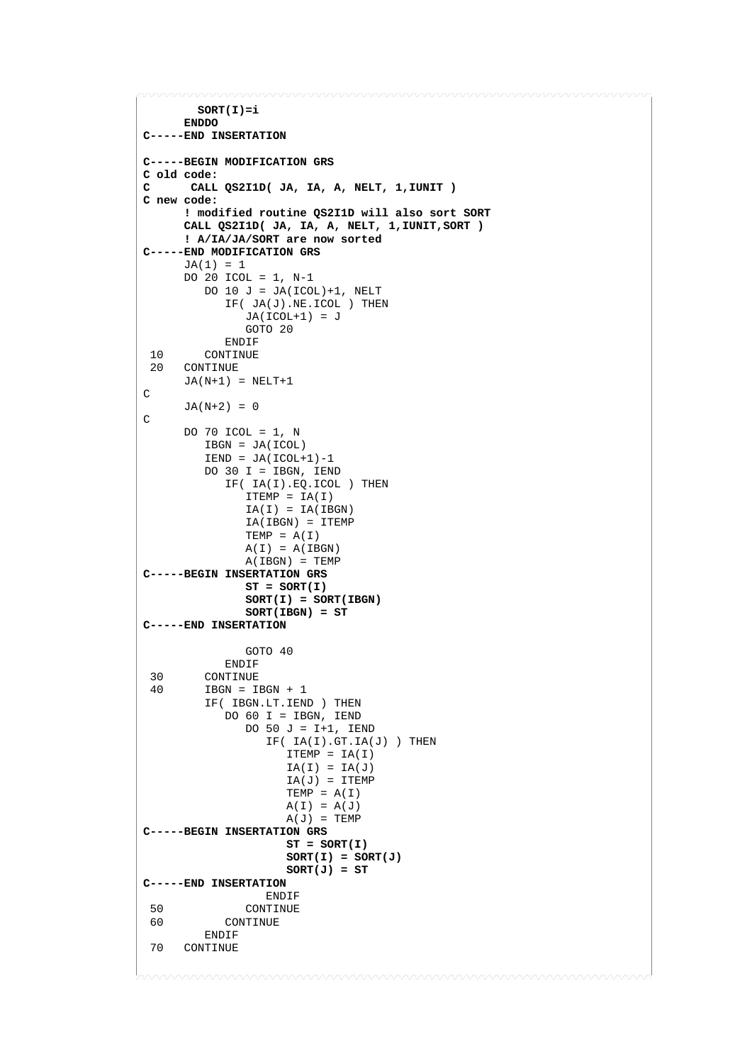```
 SORT(I)=i
 ENDDO
C-----END INSERTATION
C-----BEGIN MODIFICATION GRS
C old code:
      C CALL QS2I1D( JA, IA, A, NELT, 1,IUNIT )
C new code:
      ! modified routine QS2I1D will also sort SORT
       CALL QS2I1D( JA, IA, A, NELT, 1,IUNIT,SORT ) 
      ! A/IA/JA/SORT are now sorted
C-----END MODIFICATION GRS
       JA(1) = 1
       DO 20 ICOL = 1, N-1
         DO 10 J = JA(ICOL)+1, NELT
             IF( JA(J).NE.ICOL ) THEN
              JA(ICOL+1) = J GOTO 20
 ENDIF
10 CONTINUE<br>20 CONTINUE
      CONTINUE
      JA(N+1) = NELT+1C 
      JA(N+2) = 0C
       DO 70 ICOL = 1, N
          IBGN = JA(ICOL)
         IEND = JA(ICOL+1)-1 DO 30 I = IBGN, IEND
             IF( IA(I).EQ.ICOL ) THEN
               ITERMP = IA(I)IA(I) = IA(IBGN) IA(IBGN) = ITEMP
               TEMP = A(I)A(I) = A(IBGN)A(IBGN) = TEMPC-----BEGIN INSERTATION GRS
               ST = SORT(I) SORT(I) = SORT(IBGN) 
                SORT(IBGN) = ST 
C-----END INSERTATION
                GOTO 40
 ENDIF
 30 CONTINUE<br>40 TBGN = T
         IBGN = IBGN + 1 IF( IBGN.LT.IEND ) THEN
            DO 60 I = IBGN, IEND
               DO 50 J = I+1, IEND
                  IF(IA(I).GT.IA(J)) THEN
                     ITERMP = IA(I)IA(I) = IA(J)IA(J) = ITEMPTEMP = A(I)A(I) = A(J)A(J) = TEMPC-----BEGIN INSERTATION GRS
                     ST = SORT(I)SORT(I) = SORT(J) 
                     SORT(J) = STC-----END INSERTATION
  ENDIF
 50 CONTINUE<br>60 CONTINUE
            CONTINUE
ENDIF<br>70 CONTINUE
    CONTINUE
```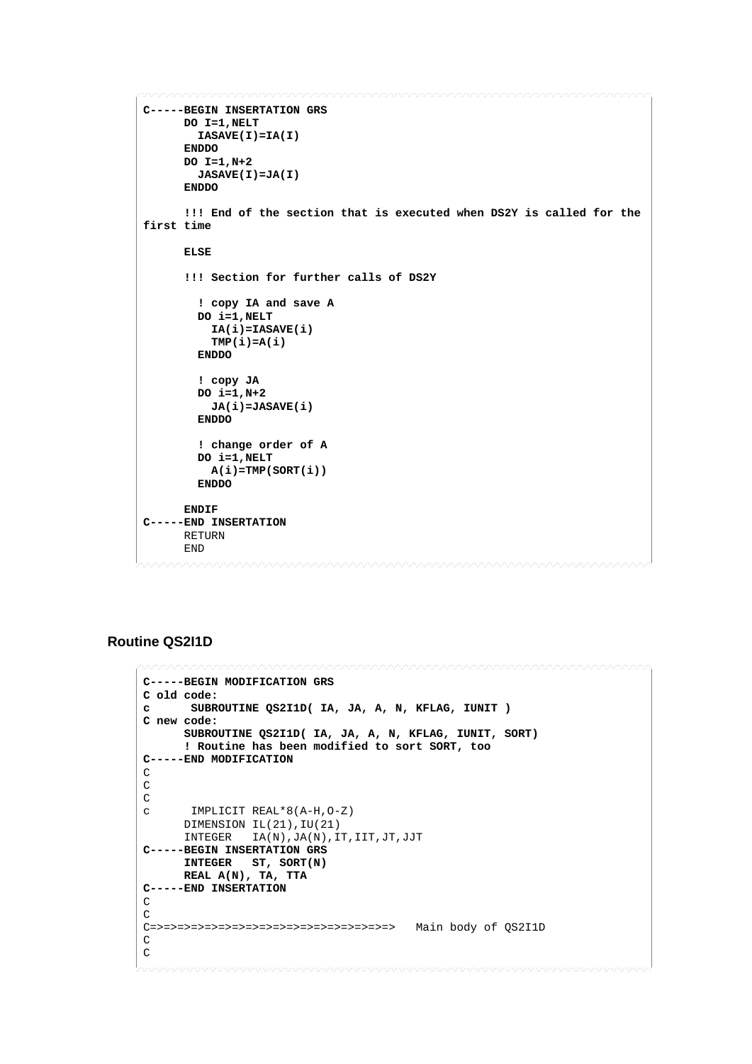```
C-----BEGIN INSERTATION GRS
       DO I=1,NELT 
         IASAVE(I)=IA(I) 
       ENDDO 
       DO I=1,N+2 
        JASAVE(I)=JA(I) 
       ENDDO 
       !!! End of the section that is executed when DS2Y is called for the 
first time
       ELSE
       !!! Section for further calls of DS2Y
         ! copy IA and save A
         DO i=1,NELT
           IA(i)=IASAVE(i)
           TMP(i)=A(i)
         ENDDO
         ! copy JA
         DO i=1,N+2
           JA(i)=JASAVE(i)
         ENDDO
         ! change order of A
         DO i=1,NELT
           A(i)=TMP(SORT(i))
         ENDDO
       ENDIF 
C-----END INSERTATION
      RETURN
       END
```
## **Routine QS2I1D**

```
C-----BEGIN MODIFICATION GRS
C old code:
      c SUBROUTINE QS2I1D( IA, JA, A, N, KFLAG, IUNIT )
C new code:
      SUBROUTINE QS2I1D( IA, JA, A, N, KFLAG, IUNIT, SORT)
       ! Routine has been modified to sort SORT, too
C-----END MODIFICATION
C
C
\frac{C}{C}c IMPLICIT REAL*8(A-H,O-Z)
       DIMENSION IL(21),IU(21)
       INTEGER IA(N),JA(N),IT,IIT,JT,JJT
C-----BEGIN INSERTATION GRS
       INTEGER ST, SORT(N) 
      REAL A(N), TA, TTA 
C-----END INSERTATION
C
\mathsf CC=>=>=>=>=>=>=>=>=>=>=>=>=>=>=>=>=>=> Main body of QS2I1D
C
\, C \,
```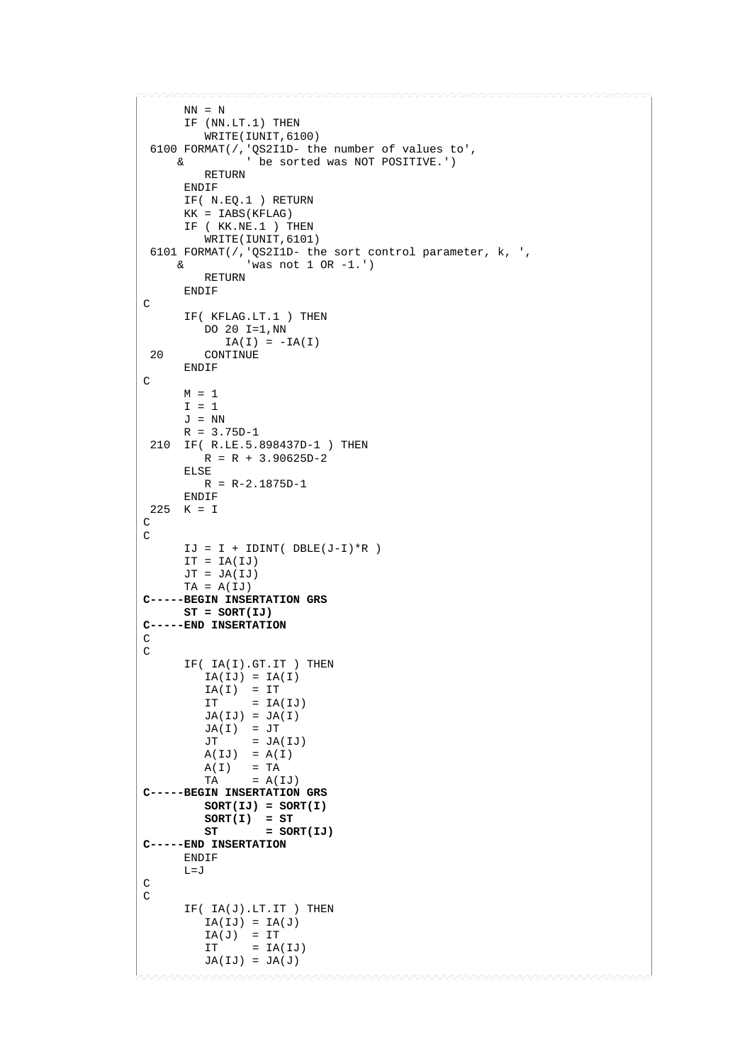```
NN = N IF (NN.LT.1) THEN
        WRITE(IUNIT,6100) 
 6100 FORMAT(/,'QS2I1D- the number of values to', 
     & ' be sorted was NOT POSITIVE.')
         RETURN
      ENDIF
      IF( N.EQ.1 ) RETURN
      KK = IABS(KFLAG)
      IF ( KK.NE.1 ) THEN
         WRITE(IUNIT,6101) 
 6101 FORMAT(/,'QS2I1D- the sort control parameter, k, ',
     & 'was not 1 OR -1.')
         RETURN
      ENDIF
\mathcal{C} IF( KFLAG.LT.1 ) THEN
         DO 20 I=1,NN
IA(I) = -IA(I)<br>20 CONTINUE
        20 CONTINUE
      ENDIF
C
     M = 1I = 1J = NN R = 3.75D-1
 210 IF( R.LE.5.898437D-1 ) THEN
      R = R + 3.90625D - 2 ELSE
        R = R-2.1875D-1
      ENDIF
225 K = I
\mathcal{C}C
     IJ = I + IDINT( DBLE(J-I)*R )IT = IA(IJ)JT = JA(IJ)TA = A(IJ)C-----BEGIN INSERTATION GRS
      ST = SORT(IJ) 
C-----END INSERTATION
\mathsf C\mathsf C IF( IA(I).GT.IT ) THEN
        IA(IJ) = IA(I)IA(I) = ITIT = IA(IJ)JA(IJ) = JA(I)JA(I) = JT<br>JT = JA= JA(IJ)A(IJ) = A(I)A(I) = TA<br>TA = A(I)= A(IJ)C-----BEGIN INSERTATION GRS
         SORT(IJ) = SORT(I) 
 SORT(I) = ST 
 ST = SORT(IJ) 
C-----END INSERTATION
      ENDIF
     L = JC 
C
     IF(IA(J) . LT . IT) THEN
        IA(IJ) = IA(J)IA(J) = ITIT = IA(IJ)JA(IJ) = JA(J)
```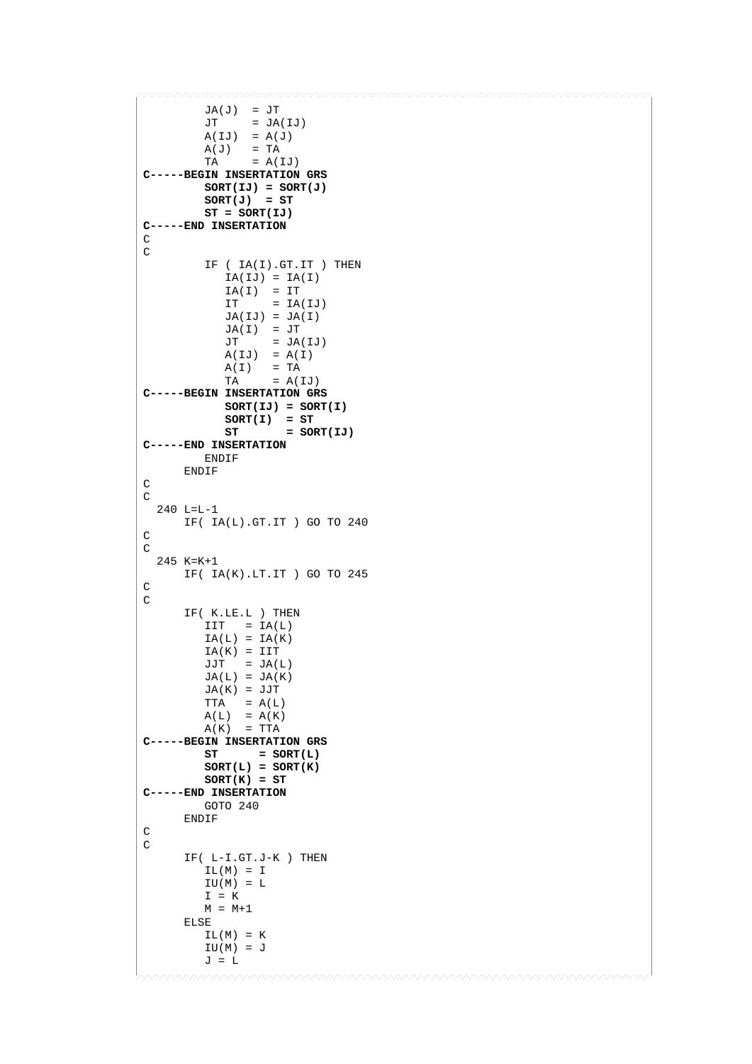```
JA(J) = JTJT = JA(IJ)A(IJ) = A(J)A(J) = TA
TA = A(IJ)C-----BEGIN INSERTATION GRS
         SORT(IJ) = SORT(J)SORT(J) = ST ST = SORT(IJ) 
C-----END INSERTATION
\cap\, C \, IF ( IA(I).GT.IT ) THEN
            IA(IJ) = IA(I)IA(I) = ITIT = IA(IJ)JA(IJ) = JA(I)JA(I) = JT<br>JT = JA= JA(IJ)\mathtt{A}(\mathtt{IJ})\quad=\ \mathtt{A}(\mathtt{I})A(I) = TA
TA = A(IJ)C-----BEGIN INSERTATION GRS
             SORT(IJ) = SORT(I)
             SORT(I) = ST 
                     = SORT(IJ)
C-----END INSERTATION
         ENDIF
       ENDIF
\mathsf CC
   240 L=L-1
      IF( IA(L).GT.IT ) GO TO 240
C
\mathsf C 245 K=K+1
       IF( IA(K).LT.IT ) GO TO 245
C
C
       IF( K.LE.L ) THEN
         \begin{tabular}{lllll} \multicolumn{1}{l}{{\bf I} {\bf I} {\bf T}} & = & {{\bf I} {\bf A}} \, ( {\bf L} ) \end{tabular}IA(L) = IA(K)IA(K) = IITJJT = JA(L)JA(L) = JA(K) JA(K) = JJT
TTA = A(L)A(L) = A(K)A(K) = TTAC-----BEGIN INSERTATION GRS
               = SORT(L)
         SORT(L) = SORT(K)SORT(K) = STC-----END INSERTATION
         GOTO 240
       ENDIF
\, C \,C
       IF( L-I.GT.J-K ) THEN
         IL(M) = IIU(M) = LI = KM = M+1 ELSE
         IL(M) = KIU(M) = JJ = L
```